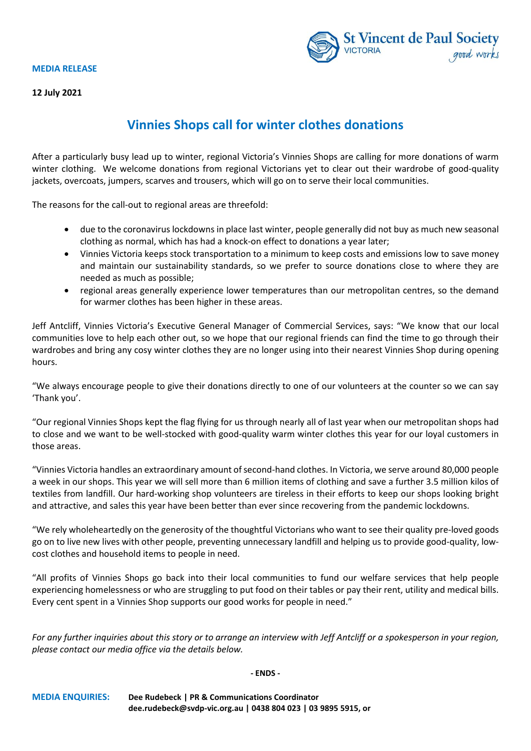## **MEDIA RELEASE**



**12 July 2021**

## **Vinnies Shops call for winter clothes donations**

After a particularly busy lead up to winter, regional Victoria's Vinnies Shops are calling for more donations of warm winter clothing. We welcome donations from regional Victorians yet to clear out their wardrobe of good-quality jackets, overcoats, jumpers, scarves and trousers, which will go on to serve their local communities.

The reasons for the call-out to regional areas are threefold:

- due to the coronavirus lockdowns in place last winter, people generally did not buy as much new seasonal clothing as normal, which has had a knock-on effect to donations a year later;
- Vinnies Victoria keeps stock transportation to a minimum to keep costs and emissions low to save money and maintain our sustainability standards, so we prefer to source donations close to where they are needed as much as possible;
- regional areas generally experience lower temperatures than our metropolitan centres, so the demand for warmer clothes has been higher in these areas.

Jeff Antcliff, Vinnies Victoria's Executive General Manager of Commercial Services, says: "We know that our local communities love to help each other out, so we hope that our regional friends can find the time to go through their wardrobes and bring any cosy winter clothes they are no longer using into their nearest Vinnies Shop during opening hours.

"We always encourage people to give their donations directly to one of our volunteers at the counter so we can say 'Thank you'.

"Our regional Vinnies Shops kept the flag flying for us through nearly all of last year when our metropolitan shops had to close and we want to be well-stocked with good-quality warm winter clothes this year for our loyal customers in those areas.

"Vinnies Victoria handles an extraordinary amount of second-hand clothes. In Victoria, we serve around 80,000 people a week in our shops. This year we will sell more than 6 million items of clothing and save a further 3.5 million kilos of textiles from landfill. Our hard-working shop volunteers are tireless in their efforts to keep our shops looking bright and attractive, and sales this year have been better than ever since recovering from the pandemic lockdowns.

"We rely wholeheartedly on the generosity of the thoughtful Victorians who want to see their quality pre-loved goods go on to live new lives with other people, preventing unnecessary landfill and helping us to provide good-quality, lowcost clothes and household items to people in need.

"All profits of Vinnies Shops go back into their local communities to fund our welfare services that help people experiencing homelessness or who are struggling to put food on their tables or pay their rent, utility and medical bills. Every cent spent in a Vinnies Shop supports our good works for people in need."

*For any further inquiries about this story or to arrange an interview with Jeff Antcliff or a spokesperson in your region, please contact our media office via the details below.*

## **- ENDS -**